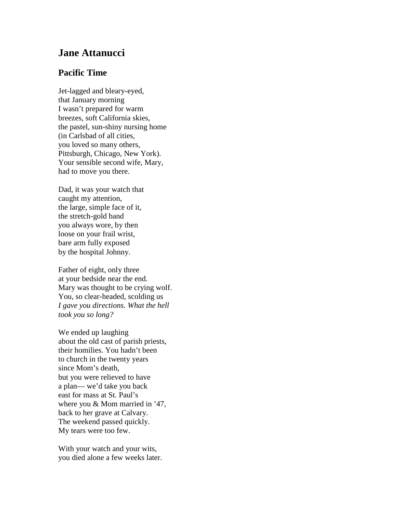## **Jane Attanucci**

## **Pacific Time**

Jet-lagged and bleary-eyed, that January morning I wasn't prepared for warm breezes, soft California skies, the pastel, sun-shiny nursing home (in Carlsbad of all cities, you loved so many others, Pittsburgh, Chicago, New York). Your sensible second wife, Mary, had to move you there.

Dad, it was your watch that caught my attention, the large, simple face of it, the stretch-gold band you always wore, by then loose on your frail wrist, bare arm fully exposed by the hospital Johnny.

Father of eight, only three at your bedside near the end. Mary was thought to be crying wolf. You, so clear-headed, scolding us *I gave you directions. What the hell took you so long?*

We ended up laughing about the old cast of parish priests, their homilies. You hadn't been to church in the twenty years since Mom's death, but you were relieved to have a plan— we'd take you back east for mass at St. Paul's where you & Mom married in '47, back to her grave at Calvary. The weekend passed quickly. My tears were too few.

With your watch and your wits, you died alone a few weeks later.